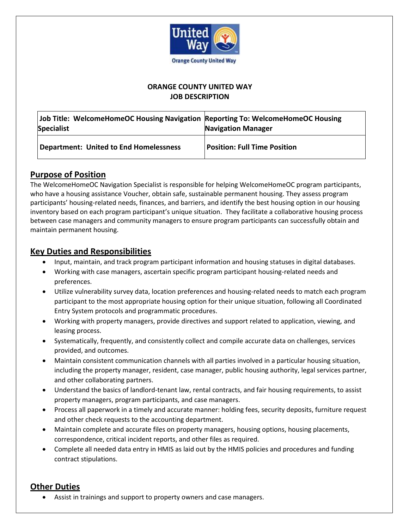

#### **ORANGE COUNTY UNITED WAY JOB DESCRIPTION**

| Job Title: WelcomeHomeOC Housing Navigation Reporting To: WelcomeHomeOC Housing<br><b>Specialist</b> | <b>Navigation Manager</b>           |
|------------------------------------------------------------------------------------------------------|-------------------------------------|
| <b>Department: United to End Homelessness</b>                                                        | <b>Position: Full Time Position</b> |

### **Purpose of Position**

The WelcomeHomeOC Navigation Specialist is responsible for helping WelcomeHomeOC program participants, who have a housing assistance Voucher, obtain safe, sustainable permanent housing. They assess program participants' housing-related needs, finances, and barriers, and identify the best housing option in our housing inventory based on each program participant's unique situation. They facilitate a collaborative housing process between case managers and community managers to ensure program participants can successfully obtain and maintain permanent housing.

# **Key Duties and Responsibilities**

- Input, maintain, and track program participant information and housing statuses in digital databases.
- Working with case managers, ascertain specific program participant housing-related needs and preferences.
- Utilize vulnerability survey data, location preferences and housing-related needs to match each program participant to the most appropriate housing option for their unique situation, following all Coordinated Entry System protocols and programmatic procedures.
- Working with property managers, provide directives and support related to application, viewing, and leasing process.
- Systematically, frequently, and consistently collect and compile accurate data on challenges, services provided, and outcomes.
- Maintain consistent communication channels with all parties involved in a particular housing situation, including the property manager, resident, case manager, public housing authority, legal services partner, and other collaborating partners.
- Understand the basics of landlord-tenant law, rental contracts, and fair housing requirements, to assist property managers, program participants, and case managers.
- Process all paperwork in a timely and accurate manner: holding fees, security deposits, furniture request and other check requests to the accounting department.
- Maintain complete and accurate files on property managers, housing options, housing placements, correspondence, critical incident reports, and other files as required.
- Complete all needed data entry in HMIS as laid out by the HMIS policies and procedures and funding contract stipulations.

# **Other Duties**

Assist in trainings and support to property owners and case managers.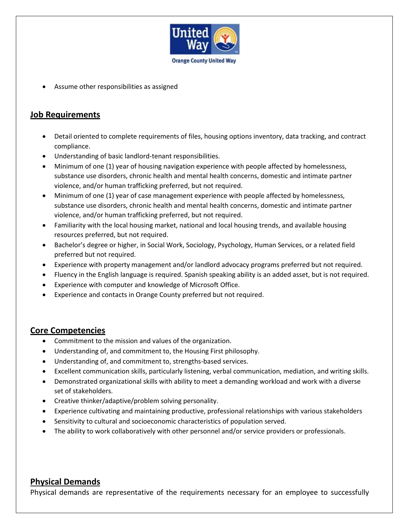

Assume other responsibilities as assigned

# **Job Requirements**

- Detail oriented to complete requirements of files, housing options inventory, data tracking, and contract compliance.
- Understanding of basic landlord-tenant responsibilities.
- Minimum of one (1) year of housing navigation experience with people affected by homelessness, substance use disorders, chronic health and mental health concerns, domestic and intimate partner violence, and/or human trafficking preferred, but not required.
- Minimum of one (1) year of case management experience with people affected by homelessness, substance use disorders, chronic health and mental health concerns, domestic and intimate partner violence, and/or human trafficking preferred, but not required.
- Familiarity with the local housing market, national and local housing trends, and available housing resources preferred, but not required.
- Bachelor's degree or higher, in Social Work, Sociology, Psychology, Human Services, or a related field preferred but not required.
- Experience with property management and/or landlord advocacy programs preferred but not required.
- Fluency in the English language is required. Spanish speaking ability is an added asset, but is not required.
- Experience with computer and knowledge of Microsoft Office.
- Experience and contacts in Orange County preferred but not required.

# **Core Competencies**

- Commitment to the mission and values of the organization.
- Understanding of, and commitment to, the Housing First philosophy.
- Understanding of, and commitment to, strengths-based services.
- Excellent communication skills, particularly listening, verbal communication, mediation, and writing skills.
- Demonstrated organizational skills with ability to meet a demanding workload and work with a diverse set of stakeholders.
- Creative thinker/adaptive/problem solving personality.
- Experience cultivating and maintaining productive, professional relationships with various stakeholders
- Sensitivity to cultural and socioeconomic characteristics of population served.
- The ability to work collaboratively with other personnel and/or service providers or professionals.

# **Physical Demands**

Physical demands are representative of the requirements necessary for an employee to successfully